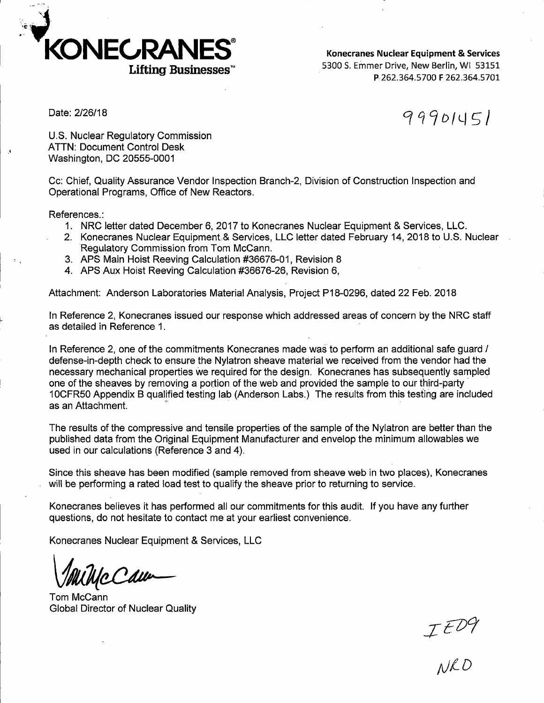

**Konecranes Nuclear Equipment** & **Services**  5300 S. Emmer Drive, New Berlin, WI 53151 **p.** 262.364.5700 **F** 262.364.5701

Date: 2/26/18

 $9990151$ 

U.S. Nuclear Regulatory Commission ATTN: Document Control Desk Washington, DC 20555-0001

Cc: Chief, Quality Assurance Vendor Inspection Branch-2, Division of Construction Inspection and Operational Programs, Office of New Reactors.

References.:

- 1. NRC letter dated December 6, 2017 to Konecranes Nuclear Equipment & Services, LLC.
- 2. Konecranes Nuclear Equipment& Services, LLC letter dated February 14, 2018 to U.S. Nuclear Regulatory Commission from Tom Mccann.
- 3. APS Main Hoist Reeving Calculation #36676-01, Revision 8
- 4. APS Aux Hoist Reeving Calculation #36676-26, Revision 6,

Attachment: Anderson Laboratories Material Analysis, Project P18-0296, dated 22 Feb. 2018

In Reference 2, Konecranes issued our response which addressed areas of concern by the NRC staff as detailed in Reference 1.

In Reference 2, one of the commitments Konecranes made was to perform an additional safe guard / defense-in-depth check to ensure the Nylatron sheave material we received from the vendor had the necessary mechanical properties we required for the design. Konecranes has subsequently sampled one of the sheaves by removing a portion of the web and provided the sample to our third-party 10CFR50 Appendix B qualified testing lab (Anderson Labs.) The results from this testing are included as an Attachment.

The results of the compressive and tensile properties of the sample of the Nylatron are better than the published data from the Original Equipment Manufacturer and envelop the minimum allowables we used in our calculations (Reference 3 and 4).

Since this sheave has been modified (sample removed from sheave web in two places), Konecranes will be performing a rated load test to qualify the sheave prior to returning to service.

Konecranes believes it has performed all our commitments for this audit. If you have any further questions, do not hesitate to contact me at your earliest convenience.

Konecranes Nuclear Equipment & Services, LLC

Tom Mccann Global Director of Nuclear Quality

 $JED9$ <br>NRD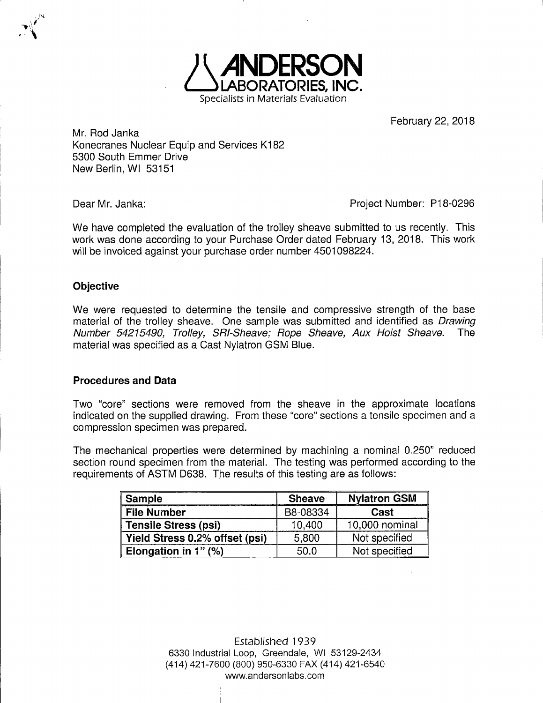

February 22, 2018

Mr. Rod Janka Konecranes Nuclear Equip and Services K182 5300 South Emmer Drive New Berlin, WI 53151

Dear Mr. Janka:

Project Number: P18-0296

We have completed the evaluation of the trolley sheave submitted to us recently. This work was done according to your Purchase Order dated February 13, 2018. This work will be invoiced against your purchase order number 4501098224.

## **Objective**

We were requested to determine the tensile and compressive strength of the base material of the trolley sheave. One sample was submitted and identified as *Drawing* Number 54215490, Trolley, SRI-Sheave; Rope Sheave, Aux Hoist Sheave. The material was specified as a Cast Nylatron GSM Blue.

## **Procedures and Data**

Two "core" sections were removed from the sheave in the approximate locations indicated on the supplied drawing. From these "core" sections a tensile specimen and a compression specimen was prepared.

The mechanical properties were determined by machining a nominal 0.250" reduced section round specimen from the material. The testing was performed according to the requirements of ASTM D638. The results of this testing are as follows:

| <b>Sample</b>                  | <b>Sheave</b> | <b>Nylatron GSM</b> |
|--------------------------------|---------------|---------------------|
| <b>File Number</b>             | B8-08334      | Cast                |
| <b>Tensile Stress (psi)</b>    | 10,400        | 10,000 nominal      |
| Yield Stress 0.2% offset (psi) | 5,800         | Not specified       |
| Elongation in 1" $(%)$         | 50.0          | Not specified       |

Established 1939 6330 Industrial Loop, Greendale, WI 53129-2434 (414) 421-7600 (800) 950-6330 FAX (414) 421-6540 www.andersonlabs.com